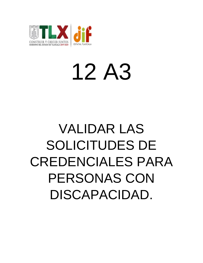

## 12 A3

## VALIDAR LAS SOLICITUDES DE CREDENCIALES PARA PERSONAS CON DISCAPACIDAD.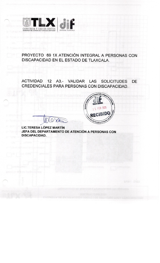

PROYECTO 69 1X ATENCIÓN INTEGRAL A PERSONAS CON DISCAPACIDAD EN EL ESTADO DE TLAXCALA.

ACTIVIDAD 12 A3.- VALIDAR LAS SOLICITUDES **DE** CREDENCIALES PARA PERSONAS CON DISCAPACIDAD.



**LIC.TERESA LÓPEZ MARTÍN** JEFA DEL DEPARTAMENTO DE ATENCIÓN A PERSONAS CON **DISCAPACIDAD.** 

 $\Omega$ 

XX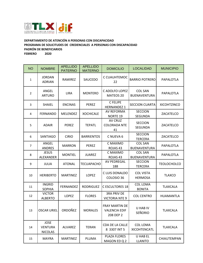

## **DEPARTAMENTO DE ATENCIÓN A PERSONAS CON DISCAPACIDAD PROGRAMA DE SOLICITUDES DE CREDENCIALES A PERSONAS CON DISCAPACIDAD PADRÓN DE BENEFICIARIOS FEBRERO 2020**

| <b>NO</b>      | <b>NOMBRE</b>                                   | <b>APELLIDO</b><br><b>PATERNO</b> | <b>APELLIDO</b><br><b>MATERNO</b> | <b>DOMICILIO</b>                                           | <b>LOCALIDAD</b>                       | <b>MUNICIPIO</b>   |
|----------------|-------------------------------------------------|-----------------------------------|-----------------------------------|------------------------------------------------------------|----------------------------------------|--------------------|
| $\mathbf{1}$   | <b>JORDAN</b><br><b>ADRIAN</b>                  | RAMIREZ                           | SAUCEDO                           | C CUAUHTEMOC<br>22                                         | <b>BARRIO POTRERO</b>                  | PAPALOTLA          |
| $\overline{2}$ | ANGEL<br><b>ARTURO</b>                          | <b>LIRA</b>                       | <b>MONTERO</b>                    | C ADOLFO LOPEZ<br>MATEOS <sub>20</sub>                     | <b>COL SAN</b><br><b>BUENAVENTURA</b>  | PAPALOTLA          |
| 3              | <b>SHAIEL</b>                                   | <b>ENCINAS</b>                    | PEREZ                             | C FELIPE<br><b>HERNANDEZ 1</b>                             | <b>SECCION CUARTA</b>                  | <b>XICOHTZINCO</b> |
| 4              | <b>FERNANDO</b>                                 | MELENDEZ                          | <b>XOCHICALE</b>                  | <b>AV REFORMA</b><br><b>NORTE 19</b>                       | <b>SECCION</b><br>SEGUNDA              | ZACATELCO          |
| 5              | <b>ADAIR</b>                                    | <b>PEREZ</b>                      | <b>TEPATL</b>                     | AV CRUZ<br><b>COLORADA NTE</b><br>41                       | <b>SECCION</b><br>SEGUNDA              | ZACATELCO          |
| 6              | <b>SANTIAGO</b>                                 | <b>CIRIO</b>                      | <b>BARRIENTOS</b>                 | C NUEVA 6                                                  | <b>SECCION</b><br><b>TERCERA</b>       | ZACATELCO          |
| $\overline{7}$ | ANGEL<br><b>ANDRES</b>                          | <b>MARRON</b>                     | <b>PEREZ</b>                      | C MAXIMO<br>ROJAS <sub>43</sub>                            | <b>COL SAN</b><br><b>BUENAVENTURA</b>  | PAPALOTLA          |
| 8              | <b>JESUS</b><br>ALEXANDER                       | <b>MONTIEL</b>                    | <b>JUAREZ</b>                     | C MAXIMO<br>ROJAS <sub>43</sub>                            | <b>COL SAN</b><br><b>BUENAVENTURA</b>  | PAPALOTLA          |
| 9              | <b>JULIA</b>                                    | <b>ATONAL</b>                     | <b>TECUAPACHO</b>                 | AV PEDREGAL<br>188                                         | <b>SECCION</b><br><b>TERCERA</b>       | <b>TEOLOCHOLCO</b> |
| 10             | <b>HERIBERTO</b>                                | <b>MARTINEZ</b>                   | LOPEZ                             | C LUIS DONALDO<br>COLOSIO <sub>36</sub>                    | <b>COL VISTA</b><br><b>HERMOSA</b>     | <b>TLAXCO</b>      |
| 11             | <b>INGRID</b><br><b>SOPHIA</b>                  | FERNANDEZ                         | <b>RODRIGUEZ</b>                  | <b>CESCULTORES 18</b>                                      | <b>COL LOMA</b><br><b>BONITA</b>       | <b>TLAXCALA</b>    |
| 12             | <b>VICTOR</b><br><b>ALBERTO</b>                 | <b>LOPEZ</b>                      | <b>FLORES</b>                     | <b>3RA PRIV DE</b><br><b>VICTORIA NTE 9</b>                | <b>COL CENTRO</b>                      | <b>HUAMANTLA</b>   |
| 13             | <b>OSCAR URIEL</b>                              | ORDOÑEZ                           | <b>MORALES</b>                    | <b>FRAY MARTIN DE</b><br><b>VALENCIA EDIF</b><br>208 DEP 2 | U HAB IV<br><b>SEÑORIO</b>             | <b>TLAXCALA</b>    |
| 14             | <b>JOSE</b><br><b>VENTURA</b><br><b>NICOLAS</b> | <b>ALVAREZ</b>                    | <b>TERAN</b>                      | CDA DE LA CALLE<br>8 3307 INT 5                            | <b>COL LOMA</b><br><b>XICOHTENCATL</b> | <b>TLAXCALA</b>    |
| 15             | <b>MAYRA</b>                                    | <b>MARTINEZ</b>                   | PLUMA                             | PLAZA FLORES<br>MAGON ED Q 2                               | U HAB EL<br><b>LLANITO</b>             | CHIAUTEMPAN        |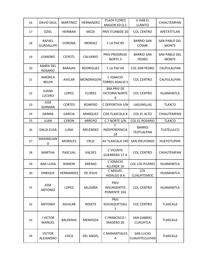| 16 | <b>DAVID SAUL</b>                  | <b>MARTINEZ</b> | HERNANDEZ        | PLAZA FLORES<br>MAGON ED Q 2                     | <b>U HAB EL</b><br><b>LLANITO</b>     | CHIAUTEMPAN                          |
|----|------------------------------------|-----------------|------------------|--------------------------------------------------|---------------------------------------|--------------------------------------|
| 17 | <b>OZIEL</b>                       | <b>HERMAN</b>   | <b>MEZA</b>      | PRIV ITURBIDE 20                                 | <b>COL CENTRO</b>                     | APETATITLAN                          |
| 18 | <b>RAFAEL</b><br><b>GUADALUPE</b>  | <b>CORONA</b>   | <b>MENDEZ</b>    | CLA PAZ 89                                       | <b>BARRIO SAN</b><br>COSME            | <b>SAN PABLO DEL</b><br><b>MONTE</b> |
| 19 | <b>LEANDRO</b>                     | <b>COYOTL</b>   | CALVARIO         | PRIV PROGRESO<br><b>NORTE 3</b>                  | <b>BARRIO SAN</b><br><b>PEDRO</b>     | SAN PABLO DEL<br><b>MONTE</b>        |
| 20 | <b>MARIA DEL</b><br><b>ROSARIO</b> | <b>BARAJAS</b>  | <b>RODRIGUEZ</b> | CLA PAZ 60                                       | <b>COL SAN PEDRO</b>                  | CALPULALPAN                          |
| 21 | <b>AMERICA</b><br><b>BELEN</b>     | <b>AVELAR</b>   | <b>MONDRAGON</b> | C IGNACIO<br><b>TORRES ADALID 5</b>              | <b>COL CENTRO</b>                     | CALPULALPAN                          |
| 22 | <b>JUANA</b><br><b>LUCERO</b>      | <b>LOPEZ</b>    | <b>FLORES</b>    | <b>3RA PRIV DE</b><br><b>VICTORIA NORTE</b><br>9 | <b>COL CENTRO</b>                     | <b>HUAMANTLA</b>                     |
| 23 | <b>JOSE</b><br><b>GERMAN</b>       | <b>CORTES</b>   | <b>ROMERO</b>    | C DEPORTIVA S/N                                  | LAGUNILLAS                            | <b>TLAXCO</b>                        |
| 24 | <b>DANNA</b>                       | <b>GARCIA</b>   | <b>MARQUEZ</b>   | <b>CDA TLAXCALA 8</b>                            | <b>COL EL ALTO</b>                    | CHIAUTEMPAN                          |
| 25 | <b>JUAN</b>                        | <b>CERON</b>    | <b>ARROYO</b>    | C 7 NORTE S/N                                    | <b>COL EL ROSARIO</b>                 | <b>TLAXCO</b>                        |
| 26 | <b>DALIA ELISA</b>                 | <b>LUNA</b>     | <b>MELENDEZ</b>  | C<br>INDEPENDENCIA<br>24                         | <b>BARRIO</b><br><b>TEOTLALPAN</b>    | <b>TLATELULCO</b>                    |
| 27 | MAXIMILIAN<br>O                    | <b>MORALES</b>  | CRUZ             | AV TLAXCALA 140                                  | SAN IDELFONSO                         | <b>HUEYOTLIPAN</b>                   |
| 28 | <b>MARTHA</b>                      | PASCUAL         | <b>VALDES</b>    | <b>C VICENTE</b><br><b>GUERRERO 27 A</b>         | <b>COL CENTRO</b>                     | CHIAUTEMPAN                          |
| 29 | <b>ANA LUISA</b>                   | <b>RAMON</b>    | <b>ARENAS</b>    | C IGNACIO<br>ALLENDE 10                          | <b>COL LOS PILARES</b>                | <b>HUAMANTLA</b>                     |
| 30 | <b>ENRIQUE</b>                     | HERNANDEZ       | DE JESUS         | C MIGUEL<br>HIDALGO 8 A                          | <b>COL</b><br><b>CUAUHTEMOC</b>       | <b>HUAMANTLA</b>                     |
| 31 | <b>JOSE</b><br><b>ANTONIO</b>      | LOPEZ           | SALDAÑA          | PRIV<br><b>INSURGENTES</b><br>PONIENTE 104       | <b>COL CENTRO</b>                     | <b>HUAMANTLA</b>                     |
| 32 | <b>ANTONIO</b>                     | <b>AGUILAR</b>  | <b>ROSETE</b>    | PRIV<br><b>XOCHIQUETZALI</b><br>7                | <b>COL CENTRO</b>                     | <b>TLAXCALA</b>                      |
| 33 | <b>J VICTOR</b><br>MANUEL          | <b>BALDERAS</b> | MENDOZA          | C FRANCISCO I<br>MADERO 26                       | <b>SAN GABRIEL</b><br><b>CUAUHTLA</b> | <b>TLAXCALA</b>                      |
| 34 | <b>VICTOR</b><br>ALEJANDRO         | <b>COCA</b>     | <b>DEL ANGEL</b> | <b>C MANANTIALES</b><br>4                        | <b>SAN LUCAS</b><br>CUAUHTELULPAN     | <b>TLAXCALA</b>                      |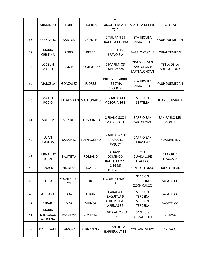| 35 | ARMANDO                                           | <b>FLORES</b>             | <b>HUERTA</b>         | AV<br><b>XICOHTENCATL</b><br>77 A                  | <b>ACXOTLA DEL RIO</b>                                | <b>TOTOLAC</b>                       |
|----|---------------------------------------------------|---------------------------|-----------------------|----------------------------------------------------|-------------------------------------------------------|--------------------------------------|
| 36 | <b>BERNARDO</b>                                   | <b>SANTOS</b>             | <b>VICENTE</b>        | C TULIPAN 29<br><b>FRACC LA COLINA</b>             | <b>STA URSULA</b><br><b>ZIMATEPEC</b>                 | YAUHQUEMECAN                         |
| 37 | <b>MARIA</b><br><b>CRISTINA</b>                   | PEREZ                     | PEREZ                 | <b>C NICOLAS</b><br>BRAVO 5 A                      | <b>BARRIO XAXALA</b>                                  | CHIAUTEMPAN                          |
| 38 | <b>JOCELIN</b><br><b>MARIEL</b>                   | <b>GOMEZ</b>              | <b>DOMINGUEZ</b>      | C MAPIMI CD<br>LAREDO S/N                          | 2DA SECC SAN<br><b>BARTOLOME</b><br>MATLALOHCAN       | <b>TETLA DE LA</b><br>SOLIDARIDAD    |
| 39 | <b>MARCELA</b>                                    | GONZALEZ                  | <b>FLORES</b>         | PROL 2 DE ABRIL<br>424 7MA<br><b>SECCION</b>       | <b>STA URSULA</b><br><b>ZIMATEPEC</b>                 | YAUHQUEMECAN                         |
| 40 | <b>MA DEL</b><br><b>ROCIO</b>                     |                           | TETLALMATZI MALDONADO | C GUADALUPE<br><b>VICTORIA 16 B</b>                | <b>SECCION</b><br><b>SEPTIMA</b>                      | <b>JUAN CUAMATZI</b>                 |
| 41 | ANDREA                                            | <b>MENDEZ</b>             | <b>TEPALCINGO</b>     | C FRANCISCO I<br>MADERO 61                         | <b>BARRIO SAN</b><br><b>BARTOLOME</b>                 | <b>SAN PABLO DEL</b><br><b>MONTE</b> |
| 42 | <b>JUAN</b><br><b>CARLOS</b>                      | <b>SANCHEZ</b>            | <b>BUENROSTRO</b>     | CZAHUAPAN 15<br><b>F FRACC EL</b><br><b>JAGUEY</b> | <b>BARRIO SAN</b><br>SEBASTIAN                        | <b>HUAMANTLA</b>                     |
| 43 | <b>FERNANDO</b><br><b>JUAN</b>                    | <b>BAUTISTA</b>           | <b>ROMANO</b>         | C JUAN<br><b>DOMINGO</b><br><b>BAUTISTA 277</b>    | PBLO<br><b>GUADALUPE</b><br><b>TLACHCO</b>            | <b>STA CRUZ</b><br><b>TLAXCALA</b>   |
| 44 | <b>IGNACIO</b>                                    | <b>NICOLAS</b>            | <b>JUANA</b>          | C 16 DE<br>SEPTIEMBRE 3                            | SAN IDELFONSO                                         | HUEYOTLIPAN                          |
| 45 | <b>LUCIA</b>                                      | <b>XOCHIPILTEC</b><br>ATL | <b>CORTE</b>          | C CUAUHTEMOC<br>8                                  | <b>SECCION</b><br><b>TERCERA</b><br><b>XOCHICALCO</b> | ZACATELCO                            |
| 46 | <b>ADRIANA</b>                                    | <b>DIAZ</b>               | TERAN                 | C PARADA DE<br><b>EXQUITLA 5</b>                   | <b>SECCION</b><br><b>TERCERA</b>                      | ZACATELCO                            |
| 47 | <b>EFRAIN</b>                                     | <b>DIAZ</b>               | MUÑOZ                 | C DOMINGO<br>ARENAS 86                             | <b>SECCION</b><br><b>TERCERA</b>                      | ZACATELCO                            |
| 48 | <b>MARIA</b><br><b>MILAGROS</b><br><b>AZUCENA</b> | MADERO                    | <b>JIMENEZ</b>        | <b>BLVD CALVARIO</b><br>32                         | <b>SAN LUIS</b><br>APIZAQUITO                         | APIZACO                              |
| 49 | <b>DAVID SAUL</b>                                 | ZAMORA                    | FERNANDEZ             | C JUAN DE LA<br><b>BARRERA LT 31</b>               | <b>COL SAN ISIDRO</b>                                 | <b>APIZACO</b>                       |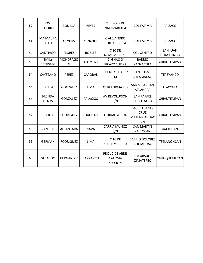| 50 | <b>JOSE</b><br><b>FEDERICO</b>  | <b>BONILLA</b>       | <b>REYES</b>    | C HEROES DE<br>NACOZARI 104                  | <b>COL FATIMA</b>                                        | <b>APIZACO</b>                       |
|----|---------------------------------|----------------------|-----------------|----------------------------------------------|----------------------------------------------------------|--------------------------------------|
| 51 | <b>MA MAURA</b><br><b>HILDA</b> | <b>OLVERA</b>        | SANCHEZ         | C ALEJANDRO<br><b>GUILLOT 303 A</b>          | <b>COL FATIMA</b>                                        | APIZACO                              |
| 52 | <b>SANTIAGO</b>                 | <b>FLORES</b>        | <b>ROBLES</b>   | C 20 DE<br><b>NOVIEMBRE 13</b>               | <b>COL CENTRO</b>                                        | <b>SAN JUAN</b><br><b>HUACTZINCO</b> |
| 53 | <b>EMILY</b><br><b>BETHSABE</b> | <b>MONDRAGO</b><br>N | <b>TEOMITZI</b> | C IGNACIO<br>PICAZO SUR 92                   | <b>BARRIO</b><br>PANZACOLA                               | CHIAUTEMPAN                          |
| 54 | <b>CAYETANO</b>                 | <b>PEREZ</b>         | <b>CAPORAL</b>  | C BENITO JUAREZ<br>14                        | <b>SAN COSME</b><br>ATLAMAXAC                            | <b>TEPEYANCO</b>                     |
| 55 | <b>ESTELA</b>                   | GONZALEZ             | <b>LIMA</b>     | AV REFORMA 209                               | <b>SAN SEBASTIAN</b><br><b>ATLAHAPA</b>                  | <b>TLAXCALA</b>                      |
| 56 | <b>BRENDA</b><br><b>DENYS</b>   | <b>GONZALEZ</b>      | <b>PALACIOS</b> | AV REVOLUCION<br>S/N                         | <b>SAN RAFAEL</b><br><b>TEPATLAXCO</b>                   | CHIAUTEMPAN                          |
| 57 | <b>CECILIA</b>                  | <b>RODRIGUEZ</b>     | <b>CUAHUTLE</b> | C HIDALGO 194                                | <b>BARRIO SANTA</b><br><b>CRUZ</b><br>MATLALCAHUAC<br>AN | CHIAUTEMPAN                          |
| 58 | <b>EVAN RENE</b>                | <b>ALCANTARA</b>     | <b>NAVA</b>     | CARR A MUÑOZ<br>S/N                          | <b>SAN MARTIN</b><br><b>XALTOCAN</b>                     | <b>XALTOCAN</b>                      |
| 59 | <b>GERMAN</b>                   | <b>RODRIGUEZ</b>     | <b>LIMA</b>     | C 16 DE<br>SEPTIEMBRE 10                     | <b>BARRIO DOLORES</b><br><b>AQUIAHUAC</b>                | <b>TETLANOHCAN</b>                   |
| 60 | <b>GERARDO</b>                  | <b>HERNANDEZ</b>     | <b>BARRANCO</b> | PROL 2 DE ABRIL<br>424 7MA<br><b>SECCION</b> | <b>STA URSULA</b><br><b>ZIMATEPEC</b>                    | YAUHQUEMECAN                         |